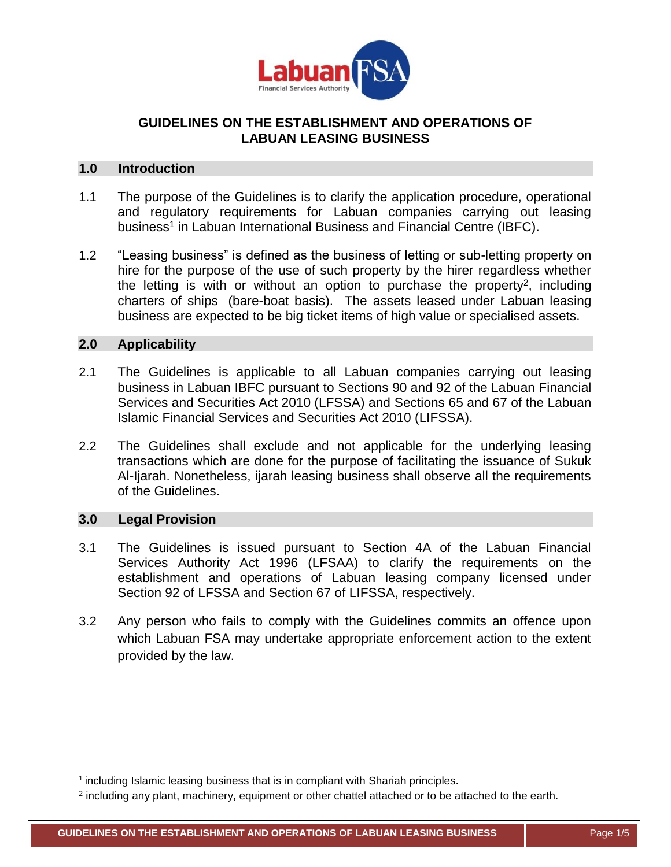

# **GUIDELINES ON THE ESTABLISHMENT AND OPERATIONS OF LABUAN LEASING BUSINESS**

## **1.0 Introduction**

- 1.1 The purpose of the Guidelines is to clarify the application procedure, operational and regulatory requirements for Labuan companies carrying out leasing business<sup>1</sup> in Labuan International Business and Financial Centre (IBFC).
- 1.2 "Leasing business" is defined as the business of letting or sub-letting property on hire for the purpose of the use of such property by the hirer regardless whether the letting is with or without an option to purchase the property<sup>2</sup>, including charters of ships (bare-boat basis). The assets leased under Labuan leasing business are expected to be big ticket items of high value or specialised assets.

## **2.0 Applicability**

- 2.1 The Guidelines is applicable to all Labuan companies carrying out leasing business in Labuan IBFC pursuant to Sections 90 and 92 of the Labuan Financial Services and Securities Act 2010 (LFSSA) and Sections 65 and 67 of the Labuan Islamic Financial Services and Securities Act 2010 (LIFSSA).
- 2.2 The Guidelines shall exclude and not applicable for the underlying leasing transactions which are done for the purpose of facilitating the issuance of Sukuk Al-Ijarah. Nonetheless, ijarah leasing business shall observe all the requirements of the Guidelines.

## **3.0 Legal Provision**

 $\overline{\phantom{a}}$ 

- 3.1 The Guidelines is issued pursuant to Section 4A of the Labuan Financial Services Authority Act 1996 (LFSAA) to clarify the requirements on the establishment and operations of Labuan leasing company licensed under Section 92 of LFSSA and Section 67 of LIFSSA, respectively.
- 3.2 Any person who fails to comply with the Guidelines commits an offence upon which Labuan FSA may undertake appropriate enforcement action to the extent provided by the law.

<sup>&</sup>lt;sup>1</sup> including Islamic leasing business that is in compliant with Shariah principles.

 $2$  including any plant, machinery, equipment or other chattel attached or to be attached to the earth.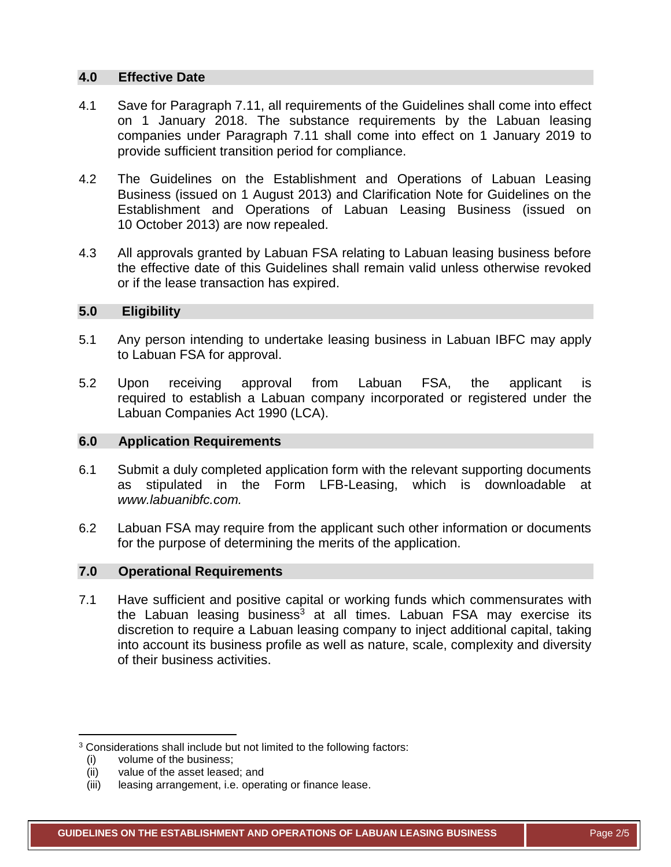### **4.0 Effective Date**

- 4.1 Save for Paragraph 7.11, all requirements of the Guidelines shall come into effect on 1 January 2018. The substance requirements by the Labuan leasing companies under Paragraph 7.11 shall come into effect on 1 January 2019 to provide sufficient transition period for compliance.
- 4.2 The Guidelines on the Establishment and Operations of Labuan Leasing Business (issued on 1 August 2013) and Clarification Note for Guidelines on the Establishment and Operations of Labuan Leasing Business (issued on 10 October 2013) are now repealed.
- 4.3 All approvals granted by Labuan FSA relating to Labuan leasing business before the effective date of this Guidelines shall remain valid unless otherwise revoked or if the lease transaction has expired.

### **5.0 Eligibility**

- 5.1 Any person intending to undertake leasing business in Labuan IBFC may apply to Labuan FSA for approval.
- 5.2 Upon receiving approval from Labuan FSA, the applicant is required to establish a Labuan company incorporated or registered under the Labuan Companies Act 1990 (LCA).

## **6.0 Application Requirements**

- 6.1 Submit a duly completed application form with the relevant supporting documents as stipulated in the Form LFB-Leasing, which is downloadable at *[www.labuanibfc.com.](http://www.labuanibfc.com/)*
- 6.2 Labuan FSA may require from the applicant such other information or documents for the purpose of determining the merits of the application.

# **7.0 Operational Requirements**

7.1 Have sufficient and positive capital or working funds which commensurates with the Labuan leasing business<sup>3</sup> at all times. Labuan FSA may exercise its discretion to require a Labuan leasing company to inject additional capital, taking into account its business profile as well as nature, scale, complexity and diversity of their business activities.

 $\overline{\phantom{a}}$ 

<sup>&</sup>lt;sup>3</sup> Considerations shall include but not limited to the following factors:

<sup>(</sup>i) volume of the business;

<sup>(</sup>ii) value of the asset leased; and

<sup>(</sup>iii) leasing arrangement, i.e. operating or finance lease.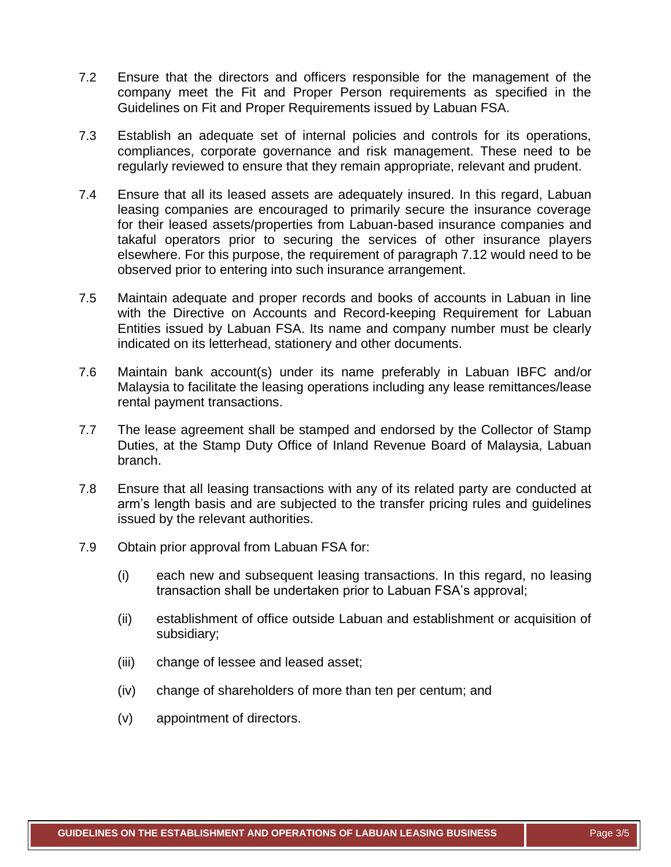- 7.2 Ensure that the directors and officers responsible for the management of the company meet the Fit and Proper Person requirements as specified in the Guidelines on Fit and Proper Requirements issued by Labuan FSA.
- 7.3 Establish an adequate set of internal policies and controls for its operations, compliances, corporate governance and risk management. These need to be regularly reviewed to ensure that they remain appropriate, relevant and prudent.
- 7.4 Ensure that all its leased assets are adequately insured. In this regard, Labuan leasing companies are encouraged to primarily secure the insurance coverage for their leased assets/properties from Labuan-based insurance companies and takaful operators prior to securing the services of other insurance players elsewhere. For this purpose, the requirement of paragraph 7.12 would need to be observed prior to entering into such insurance arrangement.
- 7.5 Maintain adequate and proper records and books of accounts in Labuan in line with the Directive on Accounts and Record-keeping Requirement for Labuan Entities issued by Labuan FSA. Its name and company number must be clearly indicated on its letterhead, stationery and other documents.
- 7.6 Maintain bank account(s) under its name preferably in Labuan IBFC and/or Malaysia to facilitate the leasing operations including any lease remittances/lease rental payment transactions.
- 7.7 The lease agreement shall be stamped and endorsed by the Collector of Stamp Duties, at the Stamp Duty Office of Inland Revenue Board of Malaysia, Labuan branch.
- 7.8 Ensure that all leasing transactions with any of its related party are conducted at arm's length basis and are subjected to the transfer pricing rules and guidelines issued by the relevant authorities.
- 7.9 Obtain prior approval from Labuan FSA for:
	- (i) each new and subsequent leasing transactions. In this regard, no leasing transaction shall be undertaken prior to Labuan FSA's approval;
	- (ii) establishment of office outside Labuan and establishment or acquisition of subsidiary;
	- (iii) change of lessee and leased asset;
	- (iv) change of shareholders of more than ten per centum; and
	- (v) appointment of directors.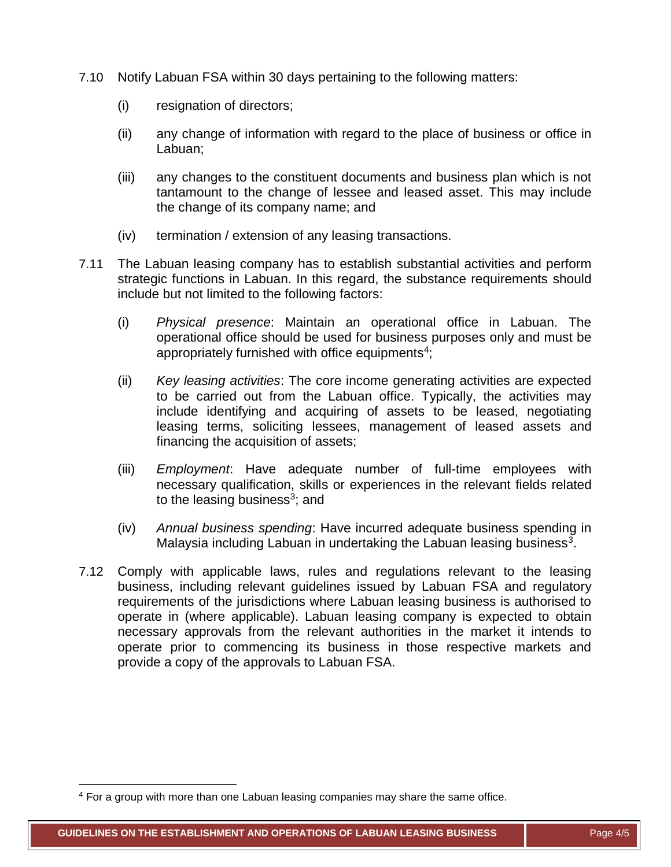- 7.10 Notify Labuan FSA within 30 days pertaining to the following matters:
	- (i) resignation of directors;
	- (ii) any change of information with regard to the place of business or office in Labuan;
	- (iii) any changes to the constituent documents and business plan which is not tantamount to the change of lessee and leased asset. This may include the change of its company name; and
	- (iv) termination / extension of any leasing transactions.
- 7.11 The Labuan leasing company has to establish substantial activities and perform strategic functions in Labuan. In this regard, the substance requirements should include but not limited to the following factors:
	- (i) *Physical presence*: Maintain an operational office in Labuan. The operational office should be used for business purposes only and must be appropriately furnished with office equipments<sup>4</sup>;
	- (ii) *Key leasing activities*: The core income generating activities are expected to be carried out from the Labuan office. Typically, the activities may include identifying and acquiring of assets to be leased, negotiating leasing terms, soliciting lessees, management of leased assets and financing the acquisition of assets;
	- (iii) *Employment*: Have adequate number of full-time employees with necessary qualification, skills or experiences in the relevant fields related to the leasing business<sup>3</sup>; and
	- (iv) *Annual business spending*: Have incurred adequate business spending in Malaysia including Labuan in undertaking the Labuan leasing business<sup>3</sup>.
- 7.12 Comply with applicable laws, rules and regulations relevant to the leasing business, including relevant guidelines issued by Labuan FSA and regulatory requirements of the jurisdictions where Labuan leasing business is authorised to operate in (where applicable). Labuan leasing company is expected to obtain necessary approvals from the relevant authorities in the market it intends to operate prior to commencing its business in those respective markets and provide a copy of the approvals to Labuan FSA.

 $\overline{\phantom{a}}$ 

<sup>4</sup> For a group with more than one Labuan leasing companies may share the same office.